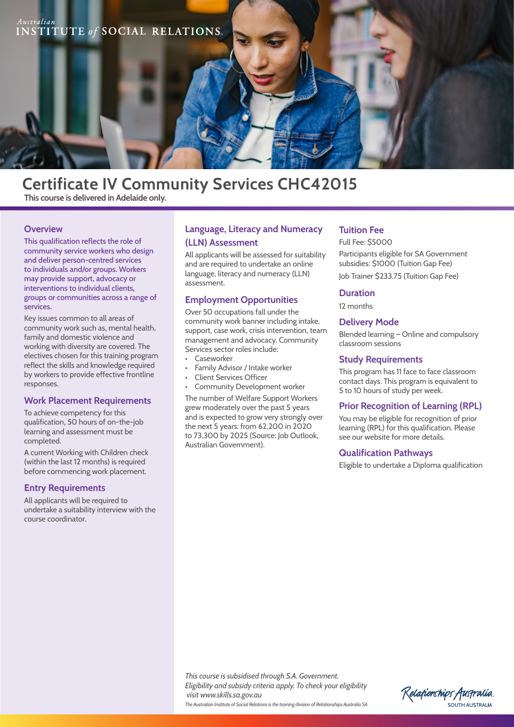

# **Certificate IV Community Services CHC42015 This course is delivered in Adelaide only.**

#### **Overview**

This qualification reflects the role of community service workers who design and deliver person-centred services to individuals and/or groups. Workers may provide support, advocacy or interventions to individual clients, groups or communities across a range of services.

Key issues common to all areas of community work such as, mental health, family and domestic violence and working with diversity are covered. The electives chosen for this training program reflect the skills and knowledge required by workers to provide effective frontline responses.

#### **Work Placement Requirements**

To achieve competency for this qualification, 50 hours of on-the-job learning and assessment must be completed.

A current Working with Children check (within the last 12 months) is required before commencing work placement.

### **Entry Requirements**

All applicants will be required to undertake a suitability interview with the course coordinator.

## **Language, Literacy and Numeracy (LLN) Assessment**

All applicants will be assessed for suitability and are required to undertake an online language, literacy and numeracy (LLN) assessment.

#### **Employment Opportunities**

Over 50 occupations fall under the community work banner including intake, support, case work, crisis intervention, team management and advocacy. Community Services sector roles include:

- Caseworker
- Family Advisor / Intake worker
- **Client Services Officer**
- Community Development worker

The number of Welfare Support Workers grew moderately over the past 5 years and is expected to grow very strongly over the next 5 years: from 62,200 in 2020 to 73,300 by 2025 (Source: Job Outlook, Australian Government).

#### **Tuition Fee**

Full Fee: \$5000

Participants eligible for SA Government subsidies: \$1000 (Tuition Gap Fee)

Job Trainer \$233.75 (Tuition Gap Fee)

#### **Duration**

12 months

#### **Delivery Mode**

Blended learning – Online and compulsory classroom sessions

#### **Study Requirements**

This program has 11 face to face classroom contact days. This program is equivalent to 5 to 10 hours of study per week.

#### **Prior Recognition of Learning (RPL)**

You may be eligible for recognition of prior learning (RPL) for this qualification. Please see our website for more details.

#### **Qualification Pathways**

Eligible to undertake a Diploma qualification

*This course is subsidised through S.A. Government. Eligibility and subsidy criteria apply. To check your eligibility visit www.skills.sa.gov.au The Australian Institute of Social Relations is the training division of Relationships Australia SA*